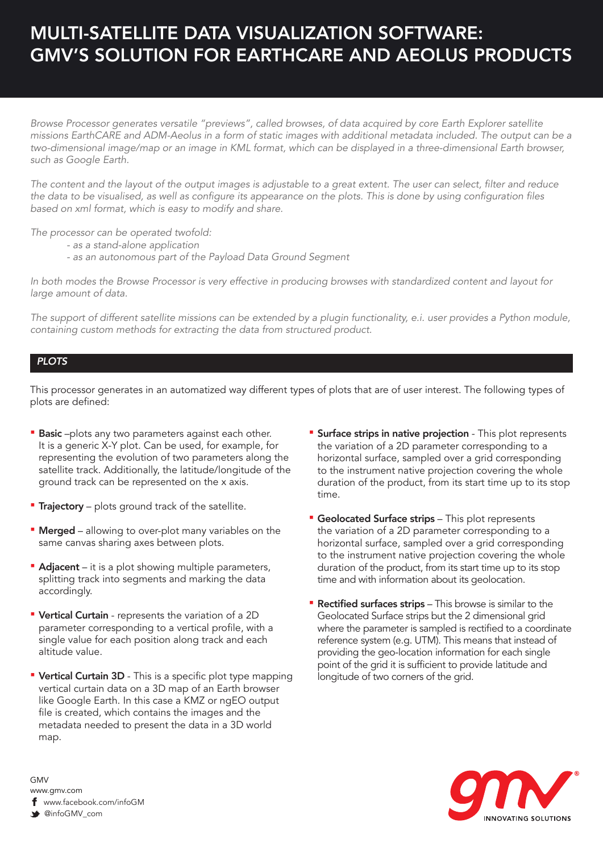## MULTI-SATELLITE DATA VISUALIZATION SOFTWARE: GMV'S SOLUTION FOR EARTHCARE AND AEOLUS PRODUCTS

*Browse Processor generates versatile "previews", called browses, of data acquired by core Earth Explorer satellite missions EarthCARE and ADM-Aeolus in a form of static images with additional metadata included. The output can be a two-dimensional image/map or an image in KML format, which can be displayed in a three-dimensional Earth browser, such as Google Earth.* 

The content and the layout of the output images is adjustable to a great extent. The user can select, filter and reduce the data to be visualised, as well as configure its appearance on the plots. This is done by using configuration files *based on xml format, which is easy to modify and share.*

*The processor can be operated twofold:*

- *as a stand-alone application*
- *as an autonomous part of the Payload Data Ground Segment*

*In both modes the Browse Processor is very effective in producing browses with standardized content and layout for large amount of data.*

*The support of different satellite missions can be extended by a plugin functionality, e.i. user provides a Python module, containing custom methods for extracting the data from structured product.*

## *PLOTS*

This processor generates in an automatized way different types of plots that are of user interest. The following types of plots are defined:

- **Basic** -plots any two parameters against each other. It is a generic X-Y plot. Can be used, for example, for representing the evolution of two parameters along the satellite track. Additionally, the latitude/longitude of the ground track can be represented on the x axis.
- **Trajectory** plots ground track of the satellite.
- **Merged** allowing to over-plot many variables on the same canvas sharing axes between plots.
- **Adjacent** it is a plot showing multiple parameters, splitting track into segments and marking the data accordingly.
- Vertical Curtain represents the variation of a 2D parameter corresponding to a vertical profile, with a single value for each position along track and each altitude value.
- **Vertical Curtain 3D** This is a specific plot type mapping vertical curtain data on a 3D map of an Earth browser like Google Earth. In this case a KMZ or ngEO output file is created, which contains the images and the metadata needed to present the data in a 3D world map.
- **EX Surface strips in native projection** This plot represents the variation of a 2D parameter corresponding to a horizontal surface, sampled over a grid corresponding to the instrument native projection covering the whole duration of the product, from its start time up to its stop time.
- **E** Geolocated Surface strips This plot represents the variation of a 2D parameter corresponding to a horizontal surface, sampled over a grid corresponding to the instrument native projection covering the whole duration of the product, from its start time up to its stop time and with information about its geolocation.
- **Rectified surfaces strips** This browse is similar to the Geolocated Surface strips but the 2 dimensional grid where the parameter is sampled is rectified to a coordinate reference system (e.g. UTM). This means that instead of providing the geo-location information for each single point of the grid it is sufficient to provide latitude and longitude of two corners of the grid.



GMV www.gmv.com f www.facebook.com/infoGM @infoGMV\_com